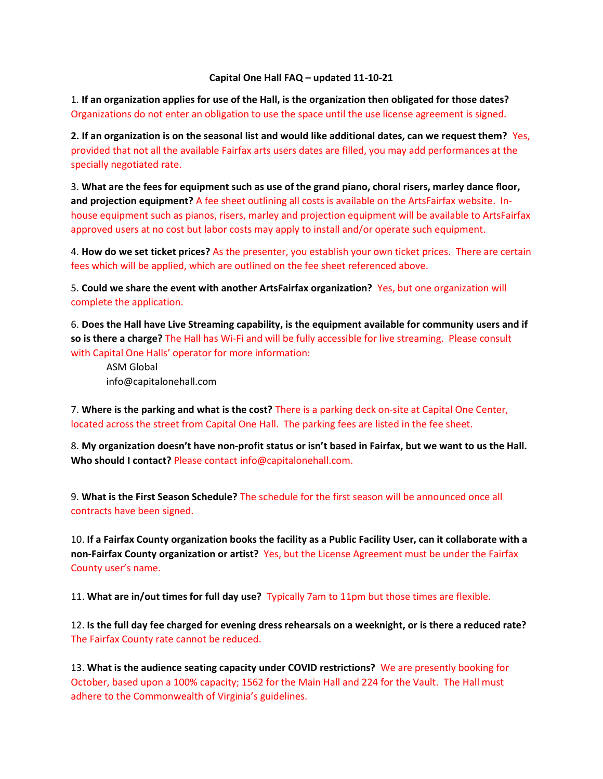## Capital One Hall FAQ – updated 11-10-21

1. If an organization applies for use of the Hall, is the organization then obligated for those dates? Organizations do not enter an obligation to use the space until the use license agreement is signed.

2. If an organization is on the seasonal list and would like additional dates, can we request them? Yes, provided that not all the available Fairfax arts users dates are filled, you may add performances at the specially negotiated rate.

3. What are the fees for equipment such as use of the grand piano, choral risers, marley dance floor, and projection equipment? A fee sheet outlining all costs is available on the ArtsFairfax website. Inhouse equipment such as pianos, risers, marley and projection equipment will be available to ArtsFairfax approved users at no cost but labor costs may apply to install and/or operate such equipment.

4. How do we set ticket prices? As the presenter, you establish your own ticket prices. There are certain fees which will be applied, which are outlined on the fee sheet referenced above.

5. Could we share the event with another ArtsFairfax organization? Yes, but one organization will complete the application.

6. Does the Hall have Live Streaming capability, is the equipment available for community users and if so is there a charge? The Hall has Wi-Fi and will be fully accessible for live streaming. Please consult with Capital One Halls' operator for more information:

ASM Global info@capitalonehall.com

7. Where is the parking and what is the cost? There is a parking deck on-site at Capital One Center, located across the street from Capital One Hall. The parking fees are listed in the fee sheet.

8. My organization doesn't have non-profit status or isn't based in Fairfax, but we want to us the Hall. Who should I contact? Please contact info@capitalonehall.com.

9. What is the First Season Schedule? The schedule for the first season will be announced once all contracts have been signed.

10. If a Fairfax County organization books the facility as a Public Facility User, can it collaborate with a non-Fairfax County organization or artist? Yes, but the License Agreement must be under the Fairfax County user's name.

11. What are in/out times for full day use? Typically 7am to 11pm but those times are flexible.

12. Is the full day fee charged for evening dress rehearsals on a weeknight, or is there a reduced rate? The Fairfax County rate cannot be reduced.

13. What is the audience seating capacity under COVID restrictions? We are presently booking for October, based upon a 100% capacity; 1562 for the Main Hall and 224 for the Vault. The Hall must adhere to the Commonwealth of Virginia's guidelines.